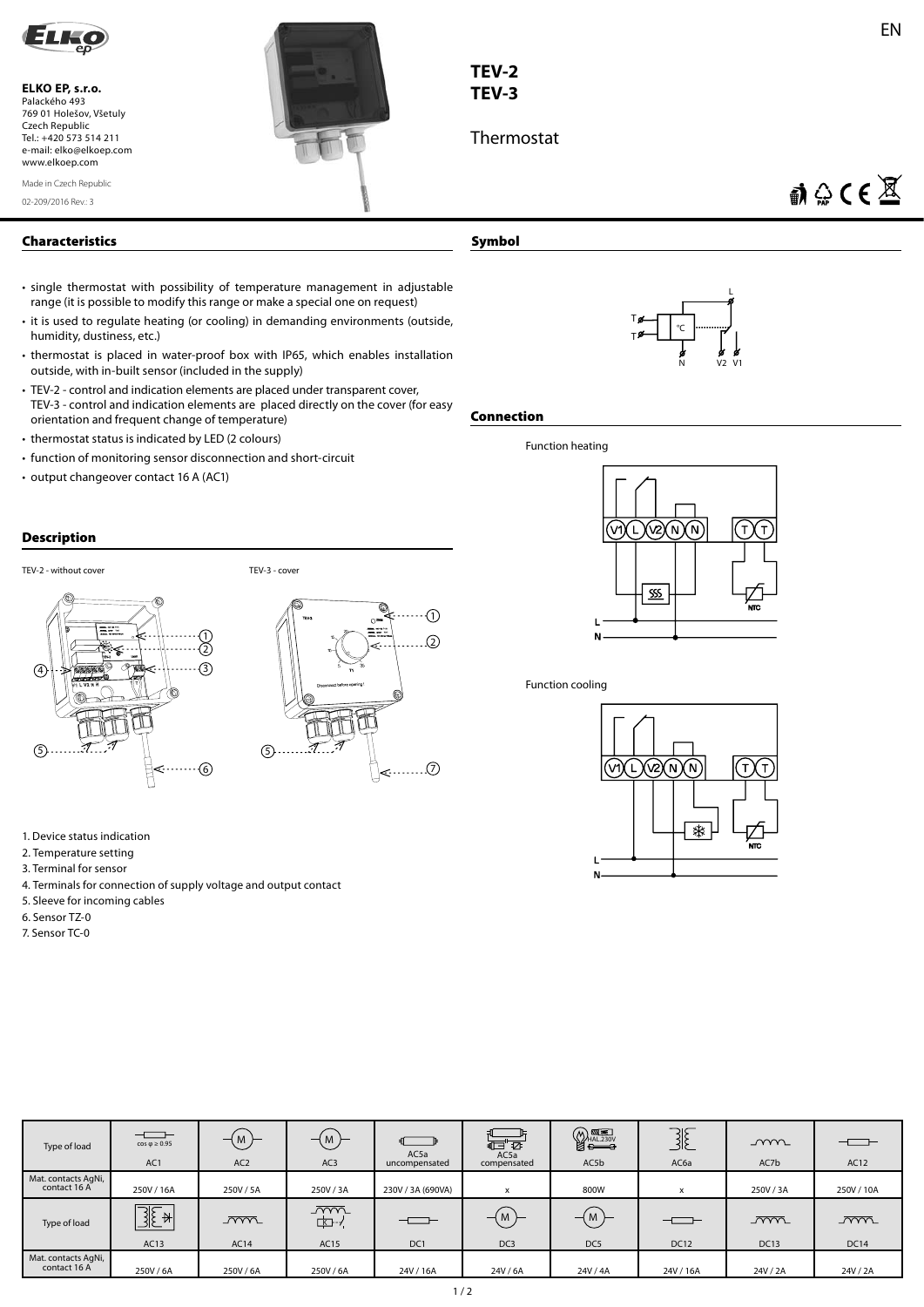

**ELKO EP, s.r.o.**  Palackého 493 769 01 Holešov, Všetuly Czech Republic Tel.: +420 573 514 211 e-mail: elko@elkoep.com www.elkoep.com

02-209/2016 Rev.: 3 Made in Czech Republic



- single thermostat with possibility of temperature management in adjustable range (it is possible to modify this range or make a special one on request)
- it is used to regulate heating (or cooling) in demanding environments (outside, humidity, dustiness, etc.)
- thermostat is placed in water-proof box with IP65, which enables installation outside, with in-built sensor (included in the supply)
- TEV-2 control and indication elements are placed under transparent cover, TEV-3 - control and indication elements are placed directly on the cover (for easy orientation and frequent change of temperature)
- thermostat status is indicated by LED (2 colours)
- function of monitoring sensor disconnection and short-circuit
- output changeover contact 16 A (AC1)

## **Description**



- 1. Device status indication
- 2. Temperature setting
- 3. Terminal for sensor
- 4. Terminals for connection of supply voltage and output contact
- 5. Sleeve for incoming cables
- 6. Sensor TZ-0
- 7. Sensor TC-0

| TEV-2 |  |  |
|-------|--|--|

# **TEV-3**

**Symbol**

Thermostat

 $\mathbf{W} \otimes \mathbf{C} \in \mathbb{X}$ 



### **Connection**



### Function cooling



| Type of load                        | $ -$<br>$cos \phi \ge 0.95$<br>AC1               | $-$ (M)<br>AC <sub>2</sub> | (M)<br>AC <sub>3</sub>      | $\Box$<br>AC5a<br>uncompensated | 信で<br>AC5a<br>compensated | $\bigotimes_{\frac{\text{HAL.230V}}{\text{E}}}}$<br>AC5b | $\exists E$<br>AC6a | mm<br>AC7b                | ——<br>AC12            |
|-------------------------------------|--------------------------------------------------|----------------------------|-----------------------------|---------------------------------|---------------------------|----------------------------------------------------------|---------------------|---------------------------|-----------------------|
| Mat. contacts AgNi,<br>contact 16 A | 250V / 16A                                       | 250V/5A                    | 250V / 3A                   | 230V / 3A (690VA)               | x                         | 800W                                                     | x                   | 250V/3A                   | 250V / 10A            |
| Type of load                        | $\overline{\mathbb{R}}$<br>$\mathcal{A}$<br>AC13 | $\overline{mm}$<br>AC14    | $\sqrt{mn}$<br>⊏⊡-≁<br>AC15 | $  -$<br>DC1                    | M<br>DC <sub>3</sub>      | $-$ (M)<br>DC5                                           | <b>DC12</b>         | <u>_ww</u><br><b>DC13</b> | $\sim$<br><b>DC14</b> |
| Mat. contacts AgNi,<br>contact 16 A | 250V/6A                                          | 250V/6A                    | 250V/6A                     | 24V / 16A                       | 24V / 6A                  | 24V / 4A                                                 | 24V / 16A           | 24V / 2A                  | 24V / 2A              |

<..............⊙

0  $\Omega$